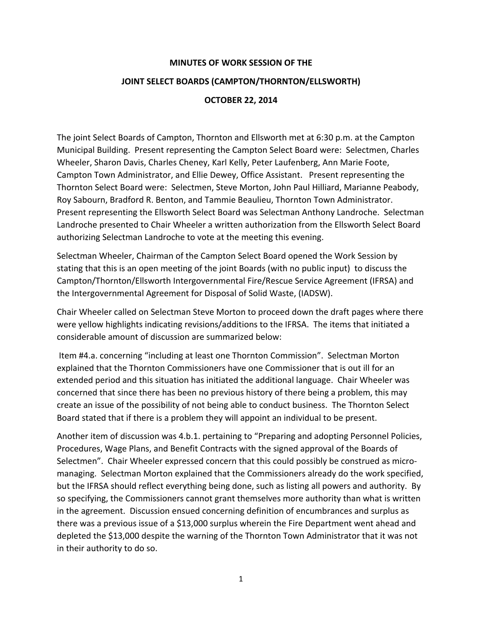## **MINUTES OF WORK SESSION OF THE JOINT SELECT BOARDS (CAMPTON/THORNTON/ELLSWORTH) OCTOBER 22, 2014**

The joint Select Boards of Campton, Thornton and Ellsworth met at 6:30 p.m. at the Campton Municipal Building. Present representing the Campton Select Board were: Selectmen, Charles Wheeler, Sharon Davis, Charles Cheney, Karl Kelly, Peter Laufenberg, Ann Marie Foote, Campton Town Administrator, and Ellie Dewey, Office Assistant. Present representing the Thornton Select Board were: Selectmen, Steve Morton, John Paul Hilliard, Marianne Peabody, Roy Sabourn, Bradford R. Benton, and Tammie Beaulieu, Thornton Town Administrator. Present representing the Ellsworth Select Board was Selectman Anthony Landroche. Selectman Landroche presented to Chair Wheeler a written authorization from the Ellsworth Select Board authorizing Selectman Landroche to vote at the meeting this evening.

Selectman Wheeler, Chairman of the Campton Select Board opened the Work Session by stating that this is an open meeting of the joint Boards (with no public input) to discuss the Campton/Thornton/Ellsworth Intergovernmental Fire/Rescue Service Agreement (IFRSA) and the Intergovernmental Agreement for Disposal of Solid Waste, (IADSW).

Chair Wheeler called on Selectman Steve Morton to proceed down the draft pages where there were yellow highlights indicating revisions/additions to the IFRSA. The items that initiated a considerable amount of discussion are summarized below:

Item #4.a. concerning "including at least one Thornton Commission". Selectman Morton explained that the Thornton Commissioners have one Commissioner that is out ill for an extended period and this situation has initiated the additional language. Chair Wheeler was concerned that since there has been no previous history of there being a problem, this may create an issue of the possibility of not being able to conduct business. The Thornton Select Board stated that if there is a problem they will appoint an individual to be present.

Another item of discussion was 4.b.1. pertaining to "Preparing and adopting Personnel Policies, Procedures, Wage Plans, and Benefit Contracts with the signed approval of the Boards of Selectmen". Chair Wheeler expressed concern that this could possibly be construed as micromanaging. Selectman Morton explained that the Commissioners already do the work specified, but the IFRSA should reflect everything being done, such as listing all powers and authority. By so specifying, the Commissioners cannot grant themselves more authority than what is written in the agreement. Discussion ensued concerning definition of encumbrances and surplus as there was a previous issue of a \$13,000 surplus wherein the Fire Department went ahead and depleted the \$13,000 despite the warning of the Thornton Town Administrator that it was not in their authority to do so.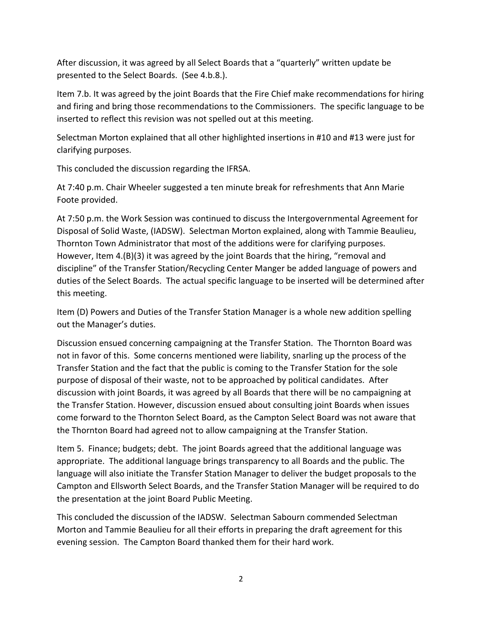After discussion, it was agreed by all Select Boards that a "quarterly" written update be presented to the Select Boards. (See 4.b.8.).

Item 7.b. It was agreed by the joint Boards that the Fire Chief make recommendations for hiring and firing and bring those recommendations to the Commissioners. The specific language to be inserted to reflect this revision was not spelled out at this meeting.

Selectman Morton explained that all other highlighted insertions in #10 and #13 were just for clarifying purposes.

This concluded the discussion regarding the IFRSA.

At 7:40 p.m. Chair Wheeler suggested a ten minute break for refreshments that Ann Marie Foote provided.

At 7:50 p.m. the Work Session was continued to discuss the Intergovernmental Agreement for Disposal of Solid Waste, (IADSW). Selectman Morton explained, along with Tammie Beaulieu, Thornton Town Administrator that most of the additions were for clarifying purposes. However, Item 4.(B)(3) it was agreed by the joint Boards that the hiring, "removal and discipline" of the Transfer Station/Recycling Center Manger be added language of powers and duties of the Select Boards. The actual specific language to be inserted will be determined after this meeting.

Item (D) Powers and Duties of the Transfer Station Manager is a whole new addition spelling out the Manager's duties.

Discussion ensued concerning campaigning at the Transfer Station. The Thornton Board was not in favor of this. Some concerns mentioned were liability, snarling up the process of the Transfer Station and the fact that the public is coming to the Transfer Station for the sole purpose of disposal of their waste, not to be approached by political candidates. After discussion with joint Boards, it was agreed by all Boards that there will be no campaigning at the Transfer Station. However, discussion ensued about consulting joint Boards when issues come forward to the Thornton Select Board, as the Campton Select Board was not aware that the Thornton Board had agreed not to allow campaigning at the Transfer Station.

Item 5. Finance; budgets; debt. The joint Boards agreed that the additional language was appropriate. The additional language brings transparency to all Boards and the public. The language will also initiate the Transfer Station Manager to deliver the budget proposals to the Campton and Ellsworth Select Boards, and the Transfer Station Manager will be required to do the presentation at the joint Board Public Meeting.

This concluded the discussion of the IADSW. Selectman Sabourn commended Selectman Morton and Tammie Beaulieu for all their efforts in preparing the draft agreement for this evening session. The Campton Board thanked them for their hard work.